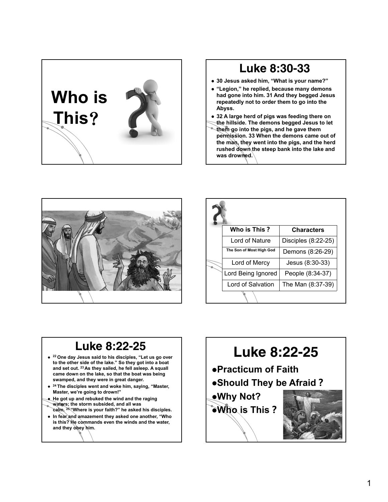

### Luke 8:30-33

- **30 Jesus asked him, "What is your name?"**
- **"Legion," he replied, because many demons had gone into him. 31 And they begged Jesus repeatedly not to order them to go into the Abyss.**
- **32 A large herd of pigs was feeding there on**
- **the hillside. The demons begged Jesus to let**
- **them go into the pigs, and he gave them permission. 33 When the demons came out of the man, they went into the pigs, and the herd rushed down the steep bank into the lake and was drowned.**



|  | Who is This?             | <b>Characters</b>   |
|--|--------------------------|---------------------|
|  | Lord of Nature           | Disciples (8:22-25) |
|  | The Son of Most High God | Demons (8:26-29)    |
|  | Lord of Mercy            | Jesus (8:30-33)     |
|  | Lord Being Ignored       | People (8:34-37)    |
|  | Lord of Salvation        | The Man (8:37-39)   |
|  |                          |                     |

### Luke 8:22-25

- **<sup>22</sup> One day Jesus said to his disciples, "Let us go over to the other side of the lake." So they got into a boat and set out. <sup>23</sup> As they sailed, he fell asleep. A squall came down on the lake, so that the boat was being swamped, and they were in great danger.**
- **<sup>24</sup> The disciples went and woke him, saying, "Master, Master, we're going to drown!"**
- **He got up and rebuked the wind and the raging waters; the storm subsided, and all was**
- **calm. <sup>25</sup> "Where is your faith?" he asked his disciples. In fear and amazement they asked one another, "Who is this? He commands even the winds and the water, and they obey him.**

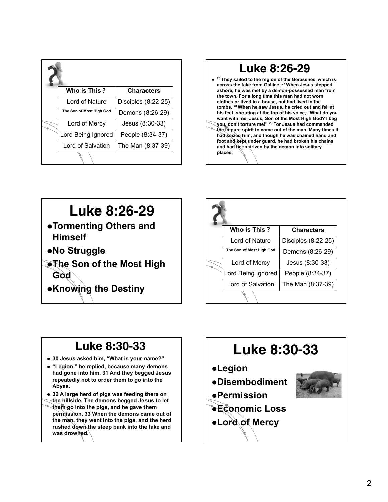|  | Who is This?             | <b>Characters</b>     |
|--|--------------------------|-----------------------|
|  | Lord of Nature           | Disciples $(8:22-25)$ |
|  | The Son of Most High God | Demons (8:26-29)      |
|  | Lord of Mercy            | Jesus (8:30-33)       |
|  | Lord Being Ignored       | People (8:34-37)      |
|  | Lord of Salvation        | The Man (8:37-39)     |
|  |                          |                       |



### Luke 8:26-29 **Tormenting Others and Himself No Struggle The Son of the Most High**

- **God**
- **Knowing the Destiny**

|  | Who is This ?            | <b>Characters</b>     |
|--|--------------------------|-----------------------|
|  | Lord of Nature           | Disciples $(8:22-25)$ |
|  | The Son of Most High God | Demons (8:26-29)      |
|  | Lord of Mercy            | Jesus (8:30-33)       |
|  | Lord Being Ignored       | People (8:34-37)      |
|  | Lord of Salvation        | The Man (8:37-39)     |
|  |                          |                       |

## Luke 8:30-33

- **30 Jesus asked him, "What is your name?"**
- **"Legion," he replied, because many demons had gone into him. 31 And they begged Jesus repeatedly not to order them to go into the Abyss.**
- **32 A large herd of pigs was feeding there on**
- **the hillside. The demons begged Jesus to let them go into the pigs, and he gave them permission. 33 When the demons came out of the man, they went into the pigs, and the herd rushed down the steep bank into the lake and was drowned.**

# Luke 8:30-33

### **Legion**

**Disembodiment**



- **Economic Loss**
- **Lord of Mercy**

**Permission**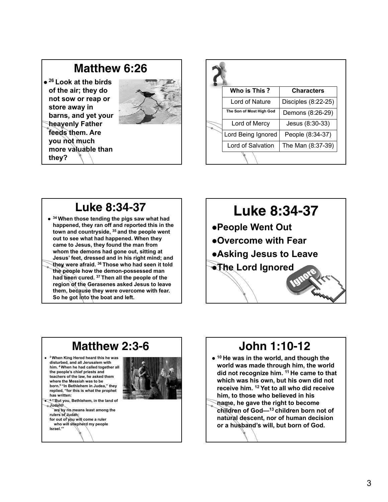### Matthew 6:26

 **<sup>26</sup> Look at the birds of the air; they do not sow or reap or store away in barns, and yet your heavenly Father feeds them. Are you not much more valuable than they?**

**Israel.'"**



|  | Who is This ?            | <b>Characters</b>   |
|--|--------------------------|---------------------|
|  | Lord of Nature           | Disciples (8:22-25) |
|  | The Son of Most High God | Demons (8:26-29)    |
|  | Lord of Mercy            | Jesus (8:30-33)     |
|  | Lord Being Ignored       | People (8:34-37)    |
|  | Lord of Salvation        | The Man (8:37-39)   |
|  |                          |                     |

### Luke 8:34-37

 **<sup>34</sup> When those tending the pigs saw what had happened, they ran off and reported this in the town and countryside, <sup>35</sup> and the people went out to see what had happened. When they came to Jesus, they found the man from whom the demons had gone out, sitting at Jesus' feet, dressed and in his right mind; and they were afraid. <sup>36</sup> Those who had seen it told the people how the demon-possessed man had been cured. <sup>37</sup> Then all the people of the region of the Gerasenes asked Jesus to leave them, because they were overcome with fear. So he got into the boat and left.**



#### Matthew 2:3-6 **<sup>3</sup> When King Herod heard this he was disturbed, and all Jerusalem with him. <sup>4</sup> When he had called together all the people's chief priests and teachers of the law, he asked them where the Messiah was to be born.5 "In Bethlehem in Judea," they replied, "for this is what the prophet has written: <sup>6</sup> "'But you, Bethlehem, in the land of Judah, are by no means least among the rulers of Judah; for out of you will come a ruler who will shepherd my people**

## John 1:10-12

- **<sup>10</sup> He was in the world, and though the world was made through him, the world did not recognize him. <sup>11</sup> He came to that which was his own, but his own did not receive him. <sup>12</sup> Yet to all who did receive him, to those who believed in his**
- **name, he gave the right to become children of God—13 children born not of natural descent, nor of human decision or a husband's will, but born of God.**